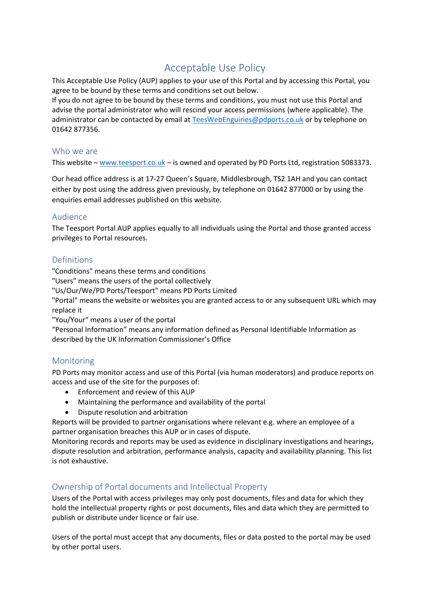# Acceptable Use Policy

This Acceptable Use Policy (AUP) applies to your use of this Portal and by accessing this Portal, you agree to be bound by these terms and conditions set out below.

If you do not agree to be bound by these terms and conditions, you must not use this Portal and advise the portal administrator who will rescind your access permissions (where applicable). The administrator can be contacted by email at [TeesWebEnguiries@pdports.co.uk](mailto:TeesWebEnguiries@pdports.co.uk) or by telephone on 01642 877356.

#### Who we are

This website – [www.teesport.co.uk](http://www.teesport.co.uk/) – is owned and operated by PD Ports Ltd, registration 5083373.

Our head office address is at 17-27 Queen's Square, Middlesbrough, TS2 1AH and you can contact either by post using the address given previously, by telephone on 01642 877000 or by using the enquiries email addresses published on this website.

#### Audience

The Teesport Portal AUP applies equally to all individuals using the Portal and those granted access privileges to Portal resources.

## Definitions

"Conditions" means these terms and conditions

"Users" means the users of the portal collectively

"Us/Our/We/PD Ports/Teesport" means PD Ports Limited

"Portal" means the website or websites you are granted access to or any subsequent URL which may replace it

"You/Your" means a user of the portal

"Personal Information" means any information defined as Personal Identifiable Information as described by the UK Information Commissioner's Office

## Monitoring

PD Ports may monitor access and use of this Portal (via human moderators) and produce reports on access and use of the site for the purposes of:

- Enforcement and review of this AUP
- Maintaining the performance and availability of the portal
- Dispute resolution and arbitration

Reports will be provided to partner organisations where relevant e.g. where an employee of a partner organisation breaches this AUP or in cases of dispute.

Monitoring records and reports may be used as evidence in disciplinary investigations and hearings, dispute resolution and arbitration, performance analysis, capacity and availability planning. This list is not exhaustive.

## Ownership of Portal documents and Intellectual Property

Users of the Portal with access privileges may only post documents, files and data for which they hold the intellectual property rights or post documents, files and data which they are permitted to publish or distribute under licence or fair use.

Users of the portal must accept that any documents, files or data posted to the portal may be used by other portal users.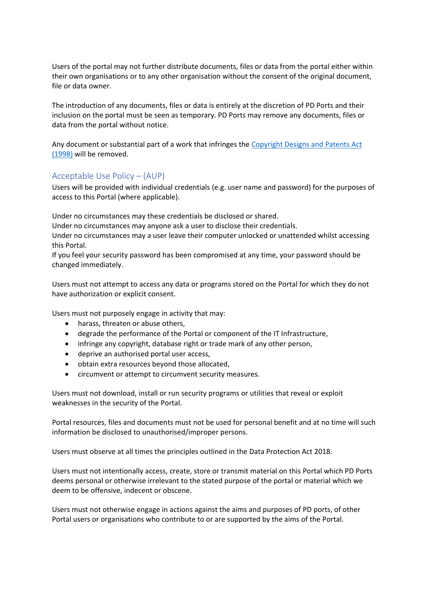Users of the portal may not further distribute documents, files or data from the portal either within their own organisations or to any other organisation without the consent of the original document, file or data owner.

The introduction of any documents, files or data is entirely at the discretion of PD Ports and their inclusion on the portal must be seen as temporary. PD Ports may remove any documents, files or data from the portal without notice.

Any document or substantial part of a work that infringes the [Copyright Designs and Patents Act](http://www.legislation.gov.uk/ukpga/1988/48/contents)  [\(1998\)](http://www.legislation.gov.uk/ukpga/1988/48/contents) will be removed.

#### Acceptable Use Policy – (AUP)

Users will be provided with individual credentials (e.g. user name and password) for the purposes of access to this Portal (where applicable).

Under no circumstances may these credentials be disclosed or shared.

Under no circumstances may anyone ask a user to disclose their credentials.

Under no circumstances may a user leave their computer unlocked or unattended whilst accessing this Portal.

If you feel your security password has been compromised at any time, your password should be changed immediately.

Users must not attempt to access any data or programs stored on the Portal for which they do not have authorization or explicit consent.

Users must not purposely engage in activity that may:

- harass, threaten or abuse others,
- degrade the performance of the Portal or component of the IT Infrastructure,
- infringe any copyright, database right or trade mark of any other person,
- deprive an authorised portal user access,
- obtain extra resources beyond those allocated,
- circumvent or attempt to circumvent security measures.

Users must not download, install or run security programs or utilities that reveal or exploit weaknesses in the security of the Portal.

Portal resources, files and documents must not be used for personal benefit and at no time will such information be disclosed to unauthorised/improper persons.

Users must observe at all times the principles outlined in the Data Protection Act 2018.

Users must not intentionally access, create, store or transmit material on this Portal which PD Ports deems personal or otherwise irrelevant to the stated purpose of the portal or material which we deem to be offensive, indecent or obscene.

Users must not otherwise engage in actions against the aims and purposes of PD ports, of other Portal users or organisations who contribute to or are supported by the aims of the Portal.